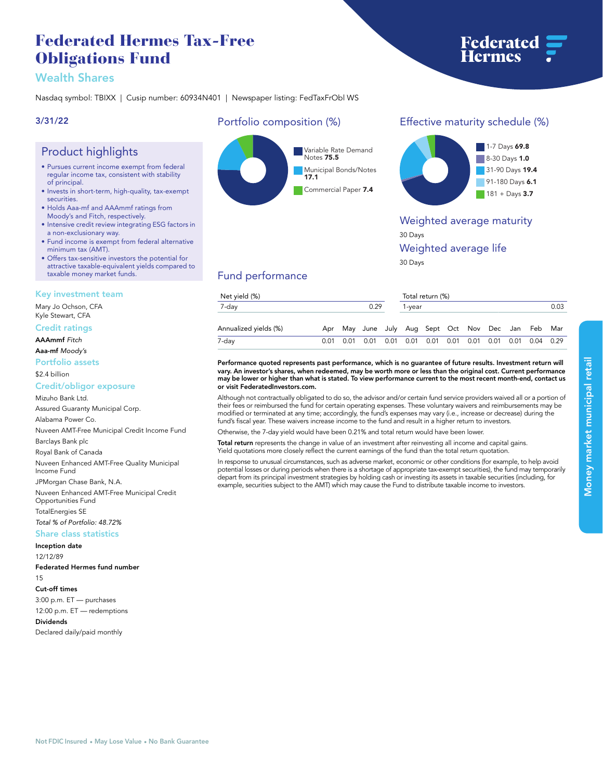# **Federated Hermes Tax-Free Obligations Fund**

## **Wealth Shares**

**Nasdaq symbol: TBIXX | Cusip number: 60934N401 | Newspaper listing: FedTaxFrObl WS**

## **3/31/22**

## **Product highlights**

- **• Pursues current income exempt from federal regular income tax, consistent with stability of principal.**
- **• Invests in short-term, high-quality, tax-exempt securities.**
- **• Holds Aaa-mf and AAAmmf ratings from Moody's and Fitch, respectively.**
- **• Intensive credit review integrating ESG factors in a non-exclusionary way.**
- **• Fund income is exempt from federal alternative minimum tax (AMT).**
- **• Offers tax-sensitive investors the potential for attractive taxable-equivalent yields compared to taxable money market funds.**

#### **Key investment team**

**Mary Jo Ochson, CFA Kyle Stewart, CFA**

#### **Credit ratings**

**AAAmmf** *Fitch*

**Aaa-mf** *Moody's* **Portfolio assets**

**\$2.4 billion**

### **Credit/obligor exposure**

**Mizuho Bank Ltd.**

**Assured Guaranty Municipal Corp.**

**Alabama Power Co.**

**Nuveen AMT-Free Municipal Credit Income Fund**

**Barclays Bank plc**

**Royal Bank of Canada Nuveen Enhanced AMT-Free Quality Municipal Income Fund**

**JPMorgan Chase Bank, N.A.**

**Nuveen Enhanced AMT-Free Municipal Credit Opportunities Fund**

**TotalEnergies SE**

*Total % of Portfolio: 48.72%*

## **Share class statistics**

**Inception date 12/12/89**

**Federated Hermes fund number**

#### **15 Cut-off times**

**3:00 p.m. ET — purchases 12:00 p.m. ET — redemptions**

#### **Dividends**

**Declared daily/paid monthly**

## **Portfolio composition (%)**



## **Effective maturity schedule (%)**



## **Weighted average maturity**

**30 Days Weighted average life**

**30 Days**

## **Fund performance**

| Net yield (%)         |      |  |                                                                  |        | Total return (%) |  |  |  |  |  |      |  |
|-----------------------|------|--|------------------------------------------------------------------|--------|------------------|--|--|--|--|--|------|--|
| 7-day<br>0.29         |      |  |                                                                  | 1-vear |                  |  |  |  |  |  | 0.03 |  |
| Annualized yields (%) |      |  | Apr May June July Aug Sept Oct Nov Dec Jan Feb Mar               |        |                  |  |  |  |  |  |      |  |
| 7-day                 | 0.01 |  | 0.01  0.01  0.01  0.01  0.01  0.01  0.01  0.01  0.01  0.04  0.29 |        |                  |  |  |  |  |  |      |  |

#### **Performance quoted represents past performance, which is no guarantee of future results. Investment return will vary. An investor's shares, when redeemed, may be worth more or less than the original cost. Current performance may be lower or higher than what is stated. To view performance current to the most recent month-end, contact us or visit [FederatedInvestors.com.](www.federatedinvestors.com)**

**Although not contractually obligated to do so, the advisor and/or certain fund service providers waived all or a portion of their fees or reimbursed the fund for certain operating expenses. These voluntary waivers and reimbursements may be modified or terminated at any time; accordingly, the fund's expenses may vary (i.e., increase or decrease) during the fund's fiscal year. These waivers increase income to the fund and result in a higher return to investors.**

**Otherwise, the 7-day yield would have been 0.21% and total return would have been lower.**

**Total return** represents the change in value of an investment after reinvesting all income and capital gains.<br>Yield quotations more closely reflect the current earnings of the fund than the total return quotation.

**In response to unusual circumstances, such as adverse market, economic or other conditions (for example, to help avoid potential losses or during periods when there is a shortage of appropriate tax-exempt securities), the fund may temporarily depart from its principal investment strategies by holding cash or investing its assets in taxable securities (including, for example, securities subject to the AMT) which may cause the Fund to distribute taxable income to investors.**

**Federated<br>Hermes**